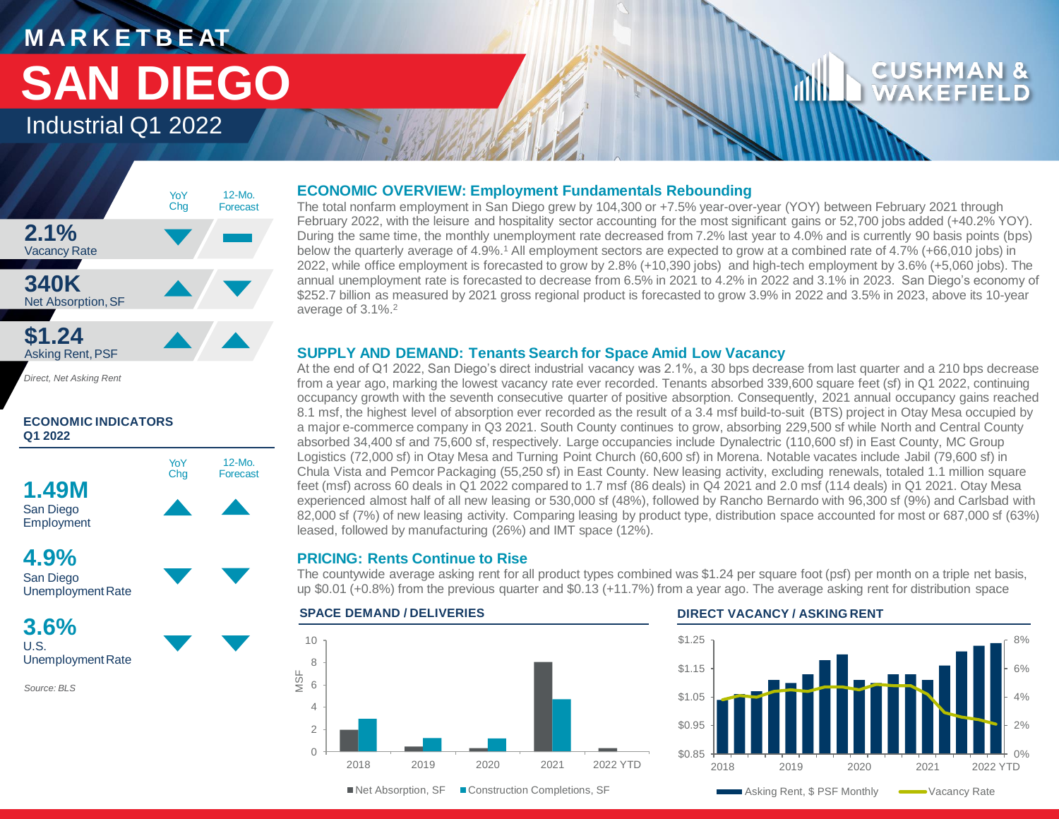

*Direct, Net Asking Rent*

# **ECONOMIC INDICATORS Q1 2022**





**3.6%**

U.S. Unemployment Rate

*Source: BLS*

# **ECONOMIC OVERVIEW: Employment Fundamentals Rebounding**

The total nonfarm employment in San Diego grew by 104,300 or +7.5% year-over-year (YOY) between February 2021 through February 2022, with the leisure and hospitality sector accounting for the most significant gains or 52,700 jobs added (+40.2% YOY). During the same time, the monthly unemployment rate decreased from 7.2% last year to 4.0% and is currently 90 basis points (bps) below the quarterly average of 4.9%.<sup>1</sup> All employment sectors are expected to grow at a combined rate of 4.7% (+66,010 jobs) in 2022, while office employment is forecasted to grow by 2.8% (+10,390 jobs) and high-tech employment by 3.6% (+5,060 jobs). The annual unemployment rate is forecasted to decrease from 6.5% in 2021 to 4.2% in 2022 and 3.1% in 2023. San Diego's economy of \$252.7 billion as measured by 2021 gross regional product is forecasted to grow 3.9% in 2022 and 3.5% in 2023, above its 10-year average of 3.1%.<sup>2</sup>

# **SUPPLY AND DEMAND: Tenants Search for Space Amid Low Vacancy**

At the end of Q1 2022, San Diego's direct industrial vacancy was 2.1%, a 30 bps decrease from last quarter and a 210 bps decrease from a year ago, marking the lowest vacancy rate ever recorded. Tenants absorbed 339,600 square feet (sf) in Q1 2022, continuing occupancy growth with the seventh consecutive quarter of positive absorption. Consequently, 2021 annual occupancy gains reached 8.1 msf, the highest level of absorption ever recorded as the result of a 3.4 msf build-to-suit (BTS) project in Otay Mesa occupied by a major e-commerce company in Q3 2021. South County continues to grow, absorbing 229,500 sf while North and Central County absorbed 34,400 sf and 75,600 sf, respectively. Large occupancies include Dynalectric (110,600 sf) in East County, MC Group Logistics (72,000 sf) in Otay Mesa and Turning Point Church (60,600 sf) in Morena. Notable vacates include Jabil (79,600 sf) in Chula Vista and Pemcor Packaging (55,250 sf) in East County. New leasing activity, excluding renewals, totaled 1.1 million square feet (msf) across 60 deals in Q1 2022 compared to 1.7 msf (86 deals) in Q4 2021 and 2.0 msf (114 deals) in Q1 2021. Otay Mesa experienced almost half of all new leasing or 530,000 sf (48%), followed by Rancho Bernardo with 96,300 sf (9%) and Carlsbad with 82,000 sf (7%) of new leasing activity. Comparing leasing by product type, distribution space accounted for most or 687,000 sf (63%) leased, followed by manufacturing (26%) and IMT space (12%).

# **PRICING: Rents Continue to Rise**

The countywide average asking rent for all product types combined was \$1.24 per square foot (psf) per month on a triple net basis, up \$0.01 (+0.8%) from the previous quarter and \$0.13 (+11.7%) from a year ago. The average asking rent for distribution space



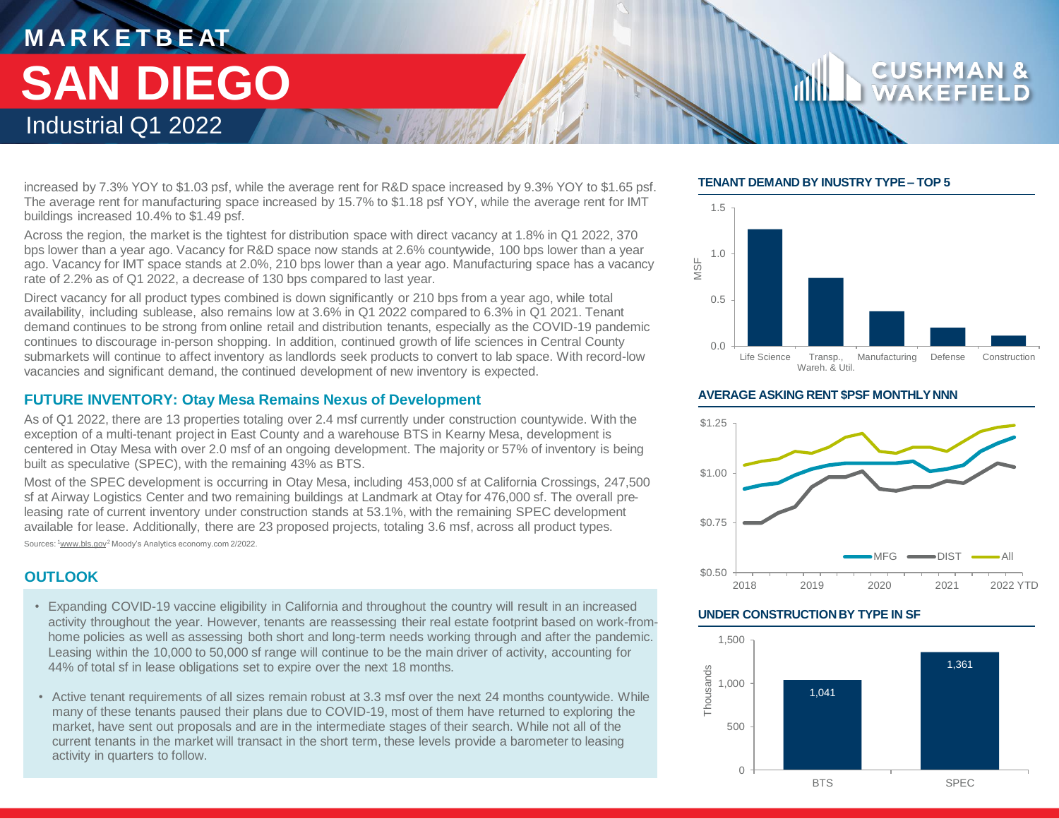increased by 7.3% YOY to \$1.03 psf, while the average rent for R&D space increased by 9.3% YOY to \$1.65 psf. The average rent for manufacturing space increased by 15.7% to \$1.18 psf YOY, while the average rent for IMT buildings increased 10.4% to \$1.49 psf.

Across the region, the market is the tightest for distribution space with direct vacancy at 1.8% in Q1 2022, 370 bps lower than a year ago. Vacancy for R&D space now stands at 2.6% countywide, 100 bps lower than a year ago. Vacancy for IMT space stands at 2.0%, 210 bps lower than a year ago. Manufacturing space has a vacancy rate of 2.2% as of Q1 2022, a decrease of 130 bps compared to last year.

Direct vacancy for all product types combined is down significantly or 210 bps from a year ago, while total availability, including sublease, also remains low at 3.6% in Q1 2022 compared to 6.3% in Q1 2021. Tenant demand continues to be strong from online retail and distribution tenants, especially as the COVID-19 pandemic continues to discourage in-person shopping. In addition, continued growth of life sciences in Central County submarkets will continue to affect inventory as landlords seek products to convert to lab space. With record-low vacancies and significant demand, the continued development of new inventory is expected.

# **FUTURE INVENTORY: Otay Mesa Remains Nexus of Development**

As of Q1 2022, there are 13 properties totaling over 2.4 msf currently under construction countywide. With the exception of a multi-tenant project in East County and a warehouse BTS in Kearny Mesa, development is centered in Otay Mesa with over 2.0 msf of an ongoing development. The majority or 57% of inventory is being built as speculative (SPEC), with the remaining 43% as BTS.

Most of the SPEC development is occurring in Otay Mesa, including 453,000 sf at California Crossings, 247,500 sf at Airway Logistics Center and two remaining buildings at Landmark at Otay for 476,000 sf. The overall preleasing rate of current inventory under construction stands at 53.1%, with the remaining SPEC development available for lease. Additionally, there are 23 proposed projects, totaling 3.6 msf, across all product types. Sources: <sup>1</sup>www.bls.gov<sup>2</sup> Moody's Analytics economy.com 2/2022.

# **OUTLOOK**

- Expanding COVID-19 vaccine eligibility in California and throughout the country will result in an increased activity throughout the year. However, tenants are reassessing their real estate footprint based on work-fromhome policies as well as assessing both short and long-term needs working through and after the pandemic. Leasing within the 10,000 to 50,000 sf range will continue to be the main driver of activity, accounting for 44% of total sf in lease obligations set to expire over the next 18 months.
- Active tenant requirements of all sizes remain robust at 3.3 msf over the next 24 months countywide. While many of these tenants paused their plans due to COVID-19, most of them have returned to exploring the market, have sent out proposals and are in the intermediate stages of their search. While not all of the current tenants in the market will transact in the short term, these levels provide a barometer to leasing activity in quarters to follow.

## **TENANT DEMAND BY INUSTRY TYPE – TOP 5**



### **AVERAGE ASKING RENT \$PSF MONTHLY NNN**



### **UNDER CONSTRUCTION BY TYPE IN SF**

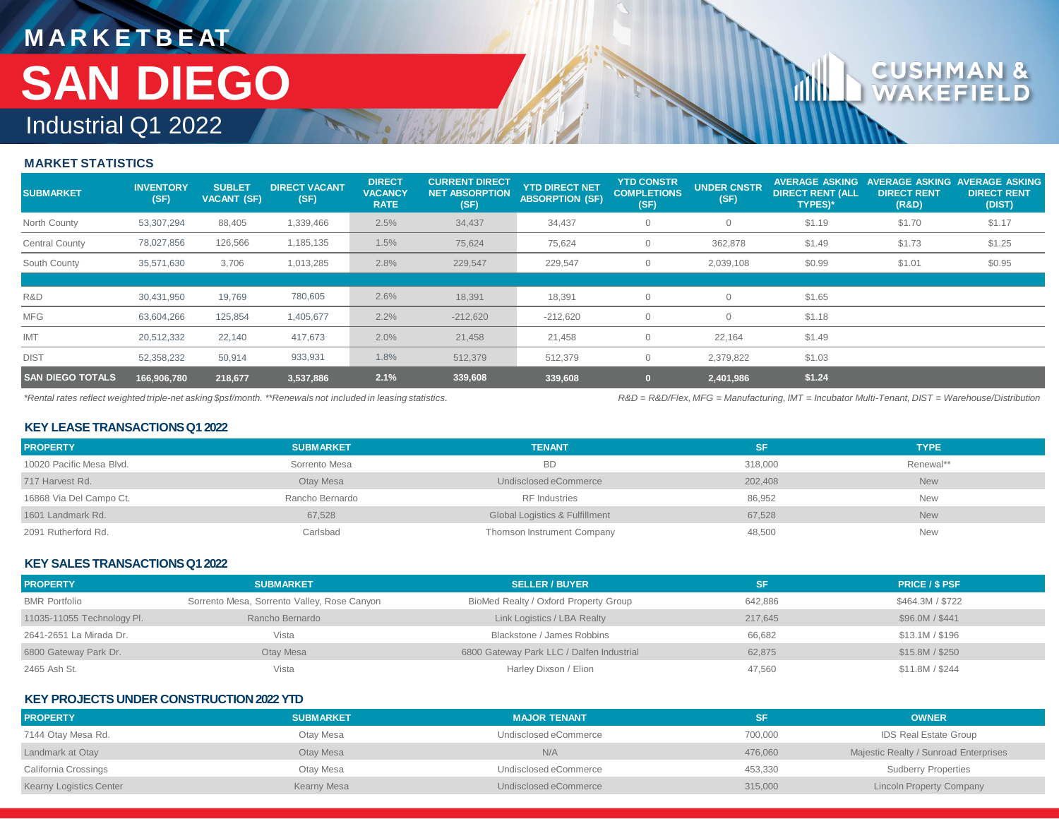### **MARKET STATISTICS**

| <b>SUBMARKET</b>        | <b>INVENTORY</b><br>(SF) | <b>SUBLET</b><br><b>VACANT (SF)</b> | <b>DIRECT VACANT</b><br>(SF) | <b>DIRECT</b><br><b>VACANCY</b><br><b>RATE</b> | <b>CURRENT DIRECT</b><br><b>NET ABSORPTION</b><br>(SF) | <b>YTD DIRECT NET</b><br><b>ABSORPTION (SF)</b> | <b>YTD CONSTR</b><br><b>COMPLETIONS</b><br>(SF) | <b>UNDER CNSTR</b><br>(SF) | <b>AVERAGE ASKING</b><br><b>DIRECT RENT (ALL</b><br><b>TYPES)*</b> | <b>AVERAGE ASKING</b><br><b>DIRECT RENT</b><br>(R&D) | <b>AVERAGE ASKING</b><br><b>DIRECT RENT</b><br>(DIST) |
|-------------------------|--------------------------|-------------------------------------|------------------------------|------------------------------------------------|--------------------------------------------------------|-------------------------------------------------|-------------------------------------------------|----------------------------|--------------------------------------------------------------------|------------------------------------------------------|-------------------------------------------------------|
| North County            | 53,307,294               | 88,405                              | 1,339,466                    | 2.5%                                           | 34,437                                                 | 34,437                                          |                                                 | $\overline{0}$             | \$1.19                                                             | \$1.70                                               | \$1.17                                                |
| <b>Central County</b>   | 78,027,856               | 126,566                             | 1,185,135                    | 1.5%                                           | 75,624                                                 | 75,624                                          |                                                 | 362,878                    | \$1.49                                                             | \$1.73                                               | \$1.25                                                |
| South County            | 35,571,630               | 3,706                               | 1,013,285                    | 2.8%                                           | 229,547                                                | 229,547                                         |                                                 | 2,039,108                  | \$0.99                                                             | \$1.01                                               | \$0.95                                                |
|                         |                          |                                     |                              |                                                |                                                        |                                                 |                                                 |                            |                                                                    |                                                      |                                                       |
| R&D                     | 30,431,950               | 19,769                              | 780,605                      | 2.6%                                           | 18,391                                                 | 18,391                                          |                                                 | $\overline{0}$             | \$1.65                                                             |                                                      |                                                       |
| <b>MFG</b>              | 63,604,266               | 125,854                             | 1,405,677                    | 2.2%                                           | $-212,620$                                             | $-212,620$                                      |                                                 | $\Omega$                   | \$1.18                                                             |                                                      |                                                       |
| IMT                     | 20,512,332               | 22,140                              | 417,673                      | 2.0%                                           | 21,458                                                 | 21,458                                          |                                                 | 22,164                     | \$1.49                                                             |                                                      |                                                       |
| <b>DIST</b>             | 52,358,232               | 50,914                              | 933,931                      | 1.8%                                           | 512,379                                                | 512,379                                         |                                                 | 2,379,822                  | \$1.03                                                             |                                                      |                                                       |
| <b>SAN DIEGO TOTALS</b> | 166,906,780              | 218,677                             | 3,537,886                    | 2.1%                                           | 339,608                                                | 339,608                                         |                                                 | 2,401,986                  | \$1.24                                                             |                                                      |                                                       |

*\*Rental rates reflect weighted triple-net asking \$psf/month. \*\*Renewals not included in leasing statistics.*

*R&D = R&D/Flex, MFG = Manufacturing, IMT = Incubator Multi-Tenant, DIST = Warehouse/Distribution*

### **KEY LEASE TRANSACTIONS Q1 2022**

| <b>PROPERTY</b>          | <b>SUBMARKET</b> | <b>TENANT</b>                  | SF.     | <b>TYPE</b> |
|--------------------------|------------------|--------------------------------|---------|-------------|
| 10020 Pacific Mesa Blvd. | Sorrento Mesa    | <b>BD</b>                      | 318,000 | Renewal**   |
| 717 Harvest Rd.          | Otay Mesa        | Undisclosed eCommerce          | 202,408 | <b>New</b>  |
| 16868 Via Del Campo Ct.  | Rancho Bernardo  | <b>RF</b> Industries           | 86,952  | <b>New</b>  |
| 1601 Landmark Rd.        | 67,528           | Global Logistics & Fulfillment | 67,528  | <b>New</b>  |
| 2091 Rutherford Rd.      | Carlsbad         | Thomson Instrument Company     | 48,500  | <b>New</b>  |

### **KEY SALES TRANSACTIONS Q12022**

| <b>PROPERTY</b>            | <b>SUBMARKET</b>                            | <b>SELLER / BUYER</b>                     | SF      | <b>PRICE / \$ PSF</b> |
|----------------------------|---------------------------------------------|-------------------------------------------|---------|-----------------------|
| <b>BMR Portfolio</b>       | Sorrento Mesa, Sorrento Valley, Rose Canyon | BioMed Realty / Oxford Property Group     | 642,886 | \$464.3M / \$722      |
| 11035-11055 Technology Pl. | Rancho Bernardo                             | Link Logistics / LBA Realty               | 217.645 | \$96.0M / \$441       |
| 2641-2651 La Mirada Dr.    | Vista                                       | Blackstone / James Robbins                | 66,682  | \$13.1M / \$196       |
| 6800 Gateway Park Dr.      | Otay Mesa                                   | 6800 Gateway Park LLC / Dalfen Industrial | 62,875  | \$15.8M / \$250       |
| 2465 Ash St.               | Vista                                       | Harley Dixson / Elion                     | 47,560  | \$11.8M / \$244       |

### **KEY PROJECTS UNDER CONSTRUCTION 2022 YTD**

| <b>PROPERTY</b>                | <b>SUBMARKET</b> | <b>MAJOR TENANT</b>   | SF      | <b>OWNER</b>                          |
|--------------------------------|------------------|-----------------------|---------|---------------------------------------|
| 7144 Otay Mesa Rd.             | Otay Mesa        | Undisclosed eCommerce | 700,000 | IDS Real Estate Group                 |
| Landmark at Otay               | Otay Mesa        | N/A                   | 476,060 | Majestic Realty / Sunroad Enterprises |
| California Crossings           | Otay Mesa        | Undisclosed eCommerce | 453,330 | <b>Sudberry Properties</b>            |
| <b>Kearny Logistics Center</b> | Kearny Mesa      | Undisclosed eCommerce | 315,000 | <b>Lincoln Property Company</b>       |